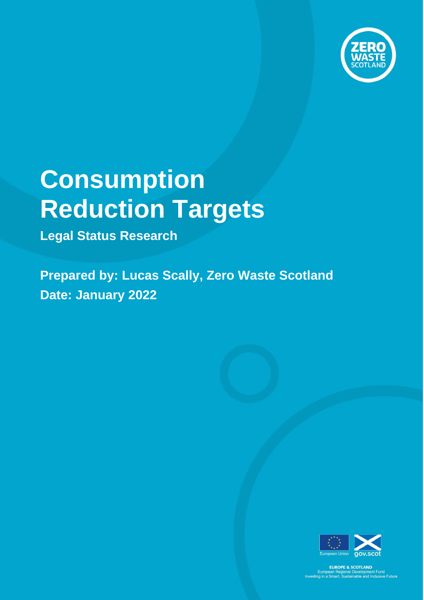

# **Consumption Reduction Targets**

**Legal Status Research**

**Prepared by: Lucas Scally, Zero Waste Scotland Date: January 2022**



EUROPE & SCOTLAND<br>European Regional Development Fund<br>Investing in a Smart, Sustainable and Inclusive Future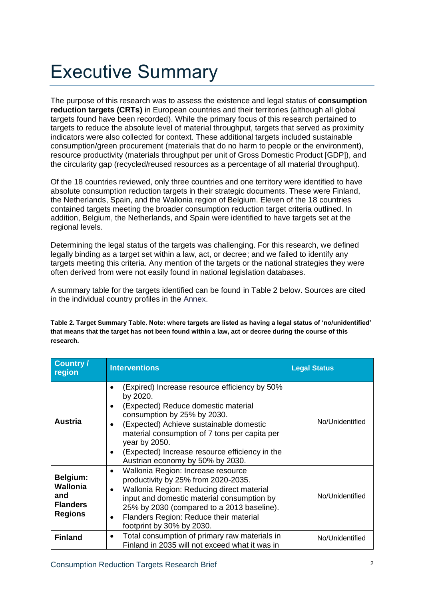## Executive Summary

The purpose of this research was to assess the existence and legal status of **consumption reduction targets (CRTs)** in European countries and their territories (although all global targets found have been recorded). While the primary focus of this research pertained to targets to reduce the absolute level of material throughput, targets that served as proximity indicators were also collected for context. These additional targets included sustainable consumption/green procurement (materials that do no harm to people or the environment), resource productivity (materials throughput per unit of Gross Domestic Product [GDP]), and the circularity gap (recycled/reused resources as a percentage of all material throughput).

Of the 18 countries reviewed, only three countries and one territory were identified to have absolute consumption reduction targets in their strategic documents. These were Finland, the Netherlands, Spain, and the Wallonia region of Belgium. Eleven of the 18 countries contained targets meeting the broader consumption reduction target criteria outlined. In addition, Belgium, the Netherlands, and Spain were identified to have targets set at the regional levels.

Determining the legal status of the targets was challenging. For this research, we defined legally binding as a target set within a law, act, or decree; and we failed to identify any targets meeting this criteria. Any mention of the targets or the national strategies they were often derived from were not easily found in national legislation databases.

A summary table for the targets identified can be found in Table 2 below. Sources are cited in the individual country profiles in the Annex.

**Table 2. Target Summary Table. Note: where targets are listed as having a legal status of 'no/unidentified' that means that the target has not been found within a law, act or decree during the course of this research.** 

| Country /<br>region                                                     | <b>Interventions</b>                                                                                                                                                                                                                                                                                                               | <b>Legal Status</b> |
|-------------------------------------------------------------------------|------------------------------------------------------------------------------------------------------------------------------------------------------------------------------------------------------------------------------------------------------------------------------------------------------------------------------------|---------------------|
| Austria                                                                 | (Expired) Increase resource efficiency by 50%<br>by 2020.<br>(Expected) Reduce domestic material<br>consumption by 25% by 2030.<br>(Expected) Achieve sustainable domestic<br>material consumption of 7 tons per capita per<br>year by 2050.<br>(Expected) Increase resource efficiency in the<br>Austrian economy by 50% by 2030. | No/Unidentified     |
| Belgium:<br><b>Wallonia</b><br>and<br><b>Flanders</b><br><b>Regions</b> | Wallonia Region: Increase resource<br>productivity by 25% from 2020-2035.<br>Wallonia Region: Reducing direct material<br>$\bullet$<br>input and domestic material consumption by<br>25% by 2030 (compared to a 2013 baseline).<br>Flanders Region: Reduce their material<br>footprint by 30% by 2030.                             | No/Unidentified     |
| <b>Finland</b>                                                          | Total consumption of primary raw materials in<br>$\bullet$<br>Finland in 2035 will not exceed what it was in                                                                                                                                                                                                                       | No/Unidentified     |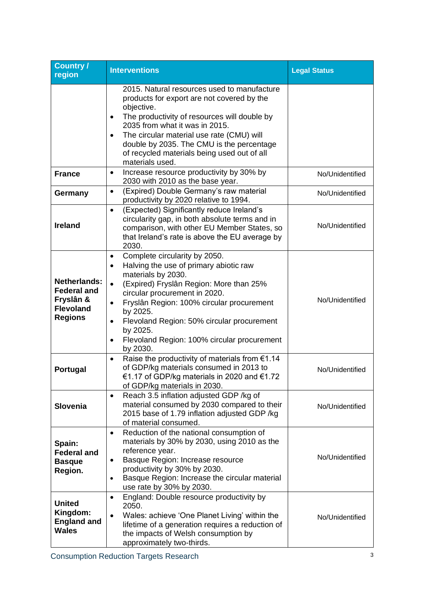| <b>Country /</b><br>region                                                                   | <b>Interventions</b>                                                                                                                                                                                                                                                                                                                                                                                                     | <b>Legal Status</b> |
|----------------------------------------------------------------------------------------------|--------------------------------------------------------------------------------------------------------------------------------------------------------------------------------------------------------------------------------------------------------------------------------------------------------------------------------------------------------------------------------------------------------------------------|---------------------|
|                                                                                              | 2015. Natural resources used to manufacture<br>products for export are not covered by the<br>objective.<br>The productivity of resources will double by<br>$\bullet$<br>2035 from what it was in 2015.<br>The circular material use rate (CMU) will<br>$\bullet$<br>double by 2035. The CMU is the percentage<br>of recycled materials being used out of all<br>materials used.                                          |                     |
| <b>France</b>                                                                                | Increase resource productivity by 30% by<br>$\bullet$<br>2030 with 2010 as the base year.                                                                                                                                                                                                                                                                                                                                | No/Unidentified     |
| Germany                                                                                      | (Expired) Double Germany's raw material<br>$\bullet$<br>productivity by 2020 relative to 1994.                                                                                                                                                                                                                                                                                                                           | No/Unidentified     |
| <b>Ireland</b>                                                                               | (Expected) Significantly reduce Ireland's<br>$\bullet$<br>circularity gap, in both absolute terms and in<br>comparison, with other EU Member States, so<br>that Ireland's rate is above the EU average by<br>2030.                                                                                                                                                                                                       | No/Unidentified     |
| <b>Netherlands:</b><br><b>Federal and</b><br>Fryslân &<br><b>Flevoland</b><br><b>Regions</b> | Complete circularity by 2050.<br>$\bullet$<br>Halving the use of primary abiotic raw<br>$\bullet$<br>materials by 2030.<br>(Expired) Fryslân Region: More than 25%<br>$\bullet$<br>circular procurement in 2020.<br>Fryslân Region: 100% circular procurement<br>$\bullet$<br>by 2025.<br>Flevoland Region: 50% circular procurement<br>by 2025.<br>Flevoland Region: 100% circular procurement<br>$\bullet$<br>by 2030. | No/Unidentified     |
| Portugal                                                                                     | Raise the productivity of materials from $€1.14$<br>$\bullet$<br>of GDP/kg materials consumed in 2013 to<br>€1.17 of GDP/kg materials in 2020 and €1.72<br>of GDP/kg materials in 2030.                                                                                                                                                                                                                                  | No/Unidentified     |
| <b>Slovenia</b>                                                                              | Reach 3.5 inflation adjusted GDP /kg of<br>$\bullet$<br>material consumed by 2030 compared to their<br>2015 base of 1.79 inflation adjusted GDP /kg<br>of material consumed.                                                                                                                                                                                                                                             | No/Unidentified     |
| Spain:<br><b>Federal and</b><br><b>Basque</b><br>Region.                                     | Reduction of the national consumption of<br>$\bullet$<br>materials by 30% by 2030, using 2010 as the<br>reference year.<br>Basque Region: Increase resource<br>$\bullet$<br>productivity by 30% by 2030.<br>Basque Region: Increase the circular material<br>$\bullet$<br>use rate by 30% by 2030.                                                                                                                       | No/Unidentified     |
| <b>United</b><br>Kingdom:<br><b>England and</b><br><b>Wales</b>                              | England: Double resource productivity by<br>$\bullet$<br>2050.<br>Wales: achieve 'One Planet Living' within the<br>$\bullet$<br>lifetime of a generation requires a reduction of<br>the impacts of Welsh consumption by<br>approximately two-thirds.                                                                                                                                                                     | No/Unidentified     |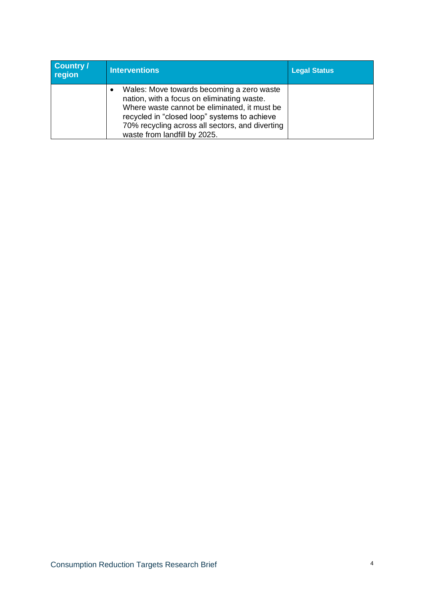| Country /<br>region | <b>Interventions</b>                                                                                                                                                                                                                                                                    | <b>Legal Status</b> |
|---------------------|-----------------------------------------------------------------------------------------------------------------------------------------------------------------------------------------------------------------------------------------------------------------------------------------|---------------------|
|                     | Wales: Move towards becoming a zero waste<br>$\bullet$<br>nation, with a focus on eliminating waste.<br>Where waste cannot be eliminated, it must be<br>recycled in "closed loop" systems to achieve<br>70% recycling across all sectors, and diverting<br>waste from landfill by 2025. |                     |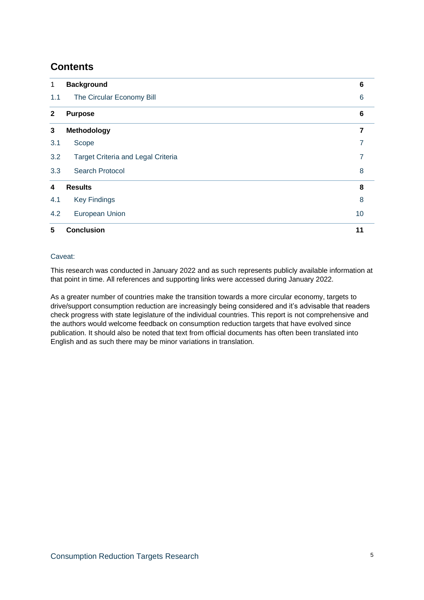## **Contents**

| 1            | <b>Background</b>                         | 6  |
|--------------|-------------------------------------------|----|
| 1.1          | The Circular Economy Bill                 | 6  |
| $\mathbf{2}$ | <b>Purpose</b>                            | 6  |
| 3            | Methodology                               |    |
| 3.1          | Scope                                     |    |
| 3.2          | <b>Target Criteria and Legal Criteria</b> | 7  |
| 3.3          | <b>Search Protocol</b>                    | 8  |
| 4            | <b>Results</b>                            | 8  |
| 4.1          | <b>Key Findings</b>                       | 8  |
| 4.2          | European Union                            | 10 |
| 5            | <b>Conclusion</b>                         | 11 |

#### Caveat:

This research was conducted in January 2022 and as such represents publicly available information at that point in time. All references and supporting links were accessed during January 2022.

As a greater number of countries make the transition towards a more circular economy, targets to drive/support consumption reduction are increasingly being considered and it's advisable that readers check progress with state legislature of the individual countries. This report is not comprehensive and the authors would welcome feedback on consumption reduction targets that have evolved since publication. It should also be noted that text from official documents has often been translated into English and as such there may be minor variations in translation.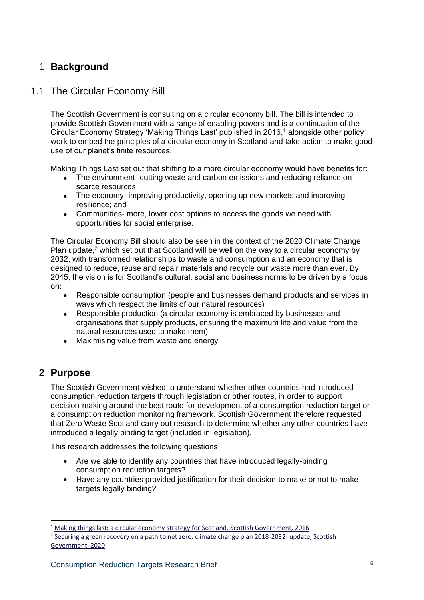## 1 **Background**

## 1.1 The Circular Economy Bill

The Scottish Government is consulting on a circular economy bill. The bill is intended to provide Scottish Government with a range of enabling powers and is a continuation of the Circular Economy Strategy 'Making Things Last' published in 2016,<sup>1</sup> alongside other policy work to embed the principles of a circular economy in Scotland and take action to make good use of our planet's finite resources.

Making Things Last set out that shifting to a more circular economy would have benefits for:

- The environment- cutting waste and carbon emissions and reducing reliance on scarce resources
- The economy- improving productivity, opening up new markets and improving resilience; and
- Communities- more, lower cost options to access the goods we need with opportunities for social enterprise.

The Circular Economy Bill should also be seen in the context of the 2020 Climate Change Plan update,<sup>2</sup> which set out that Scotland will be well on the way to a circular economy by 2032, with transformed relationships to waste and consumption and an economy that is designed to reduce, reuse and repair materials and recycle our waste more than ever. By 2045, the vision is for Scotland's cultural, social and business norms to be driven by a focus on:

- Responsible consumption (people and businesses demand products and services in ways which respect the limits of our natural resources)
- Responsible production (a circular economy is embraced by businesses and organisations that supply products, ensuring the maximum life and value from the natural resources used to make them)
- Maximising value from waste and energy

## **2 Purpose**

The Scottish Government wished to understand whether other countries had introduced consumption reduction targets through legislation or other routes, in order to support decision-making around the best route for development of a consumption reduction target or a consumption reduction monitoring framework. Scottish Government therefore requested that Zero Waste Scotland carry out research to determine whether any other countries have introduced a legally binding target (included in legislation).

This research addresses the following questions:

- Are we able to identify any countries that have introduced legally-binding consumption reduction targets?
- Have any countries provided justification for their decision to make or not to make targets legally binding?

 $1$  [Making things last: a circular economy strategy for Scotland, Scottish Government, 2016](https://www.gov.scot/publications/making-things-last-circular-economy-strategy-scotland/)

<sup>&</sup>lt;sup>2</sup> [Securing a green recovery on a path to net zero: climate change plan 2018-2032-](https://www.gov.scot/publications/securing-green-recovery-path-net-zero-update-climate-change-plan-20182032/) update, Scottish [Government, 2020](https://www.gov.scot/publications/securing-green-recovery-path-net-zero-update-climate-change-plan-20182032/)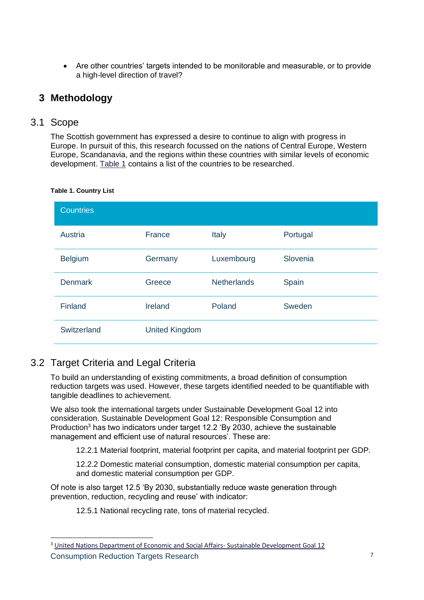• Are other countries' targets intended to be monitorable and measurable, or to provide a high-level direction of travel?

## **3 Methodology**

#### 3.1 Scope

The Scottish government has expressed a desire to continue to align with progress in Europe. In pursuit of this, this research focussed on the nations of Central Europe, Western Europe, Scandanavia, and the regions within these countries with similar levels of economic development. Table 1 contains a list of the countries to be researched.

| <b>Countries</b> |                       |                    |          |
|------------------|-----------------------|--------------------|----------|
| Austria          | France                | Italy              | Portugal |
| <b>Belgium</b>   | Germany               | Luxembourg         | Slovenia |
| <b>Denmark</b>   | Greece                | <b>Netherlands</b> | Spain    |
| Finland          | Ireland               | Poland             | Sweden   |
| Switzerland      | <b>United Kingdom</b> |                    |          |

#### **Table 1. Country List**

## 3.2 Target Criteria and Legal Criteria

To build an understanding of existing commitments, a broad definition of consumption reduction targets was used. However, these targets identified needed to be quantifiable with tangible deadlines to achievement.

We also took the international targets under Sustainable Development Goal 12 into consideration. Sustainable Development Goal 12: Responsible Consumption and Production<sup>3</sup> has two indicators under target 12.2 'By 2030, achieve the sustainable management and efficient use of natural resources'. These are:

12.2.1 Material footprint, material footprint per capita, and material footprint per GDP.

12.2.2 Domestic material consumption, domestic material consumption per capita, and domestic material consumption per GDP.

Of note is also target 12.5 'By 2030, substantially reduce waste generation through prevention, reduction, recycling and reuse' with indicator:

12.5.1 National recycling rate, tons of material recycled.

**Consumption Reduction Targets Research 7 and 7 and 7 and 7 and 7 and 7 and 7 and 7 and 7 and 7 and 7 and 7 and 7 and 7 and 7 and 7 and 7 and 7 and 7 and 7 and 7 and 7 and 7 and 7 and 7 and 7 and 7 and 7 and 7 and 7 and 7** <sup>3</sup> [United Nations Department of Economic and Social Affairs-](https://sdgs.un.org/goals/goal12) Sustainable Development Goal 12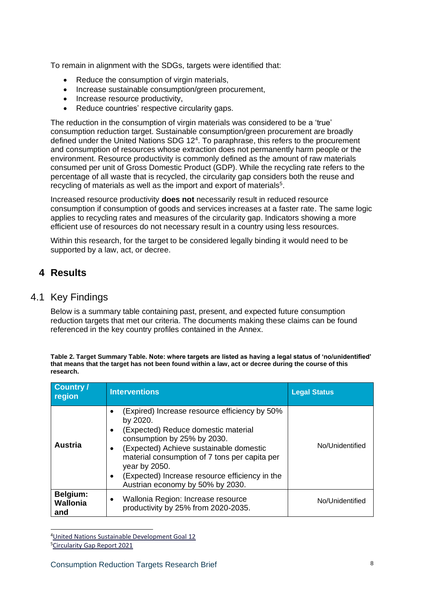To remain in alignment with the SDGs, targets were identified that:

- Reduce the consumption of virgin materials,
- Increase sustainable consumption/green procurement,
- Increase resource productivity,
- Reduce countries' respective circularity gaps.

The reduction in the consumption of virgin materials was considered to be a 'true' consumption reduction target. Sustainable consumption/green procurement are broadly defined under the United Nations SDG 12<sup>4</sup>. To paraphrase, this refers to the procurement and consumption of resources whose extraction does not permanently harm people or the environment. Resource productivity is commonly defined as the amount of raw materials consumed per unit of Gross Domestic Product (GDP). While the recycling rate refers to the percentage of all waste that is recycled, the circularity gap considers both the reuse and recycling of materials as well as the import and export of materials<sup>5</sup>.

Increased resource productivity **does not** necessarily result in reduced resource consumption if consumption of goods and services increases at a faster rate. The same logic applies to recycling rates and measures of the circularity gap. Indicators showing a more efficient use of resources do not necessary result in a country using less resources.

Within this research, for the target to be considered legally binding it would need to be supported by a law, act, or decree.

## **4 Results**

### 4.1 Key Findings

Below is a summary table containing past, present, and expected future consumption reduction targets that met our criteria. The documents making these claims can be found referenced in the key country profiles contained in the Annex.

**Table 2. Target Summary Table. Note: where targets are listed as having a legal status of 'no/unidentified' that means that the target has not been found within a law, act or decree during the course of this research.**

| <b>Country /</b><br>region         | <b>Interventions</b>                                                                                                                                                                                                                                                                                                                                              | <b>Legal Status</b> |
|------------------------------------|-------------------------------------------------------------------------------------------------------------------------------------------------------------------------------------------------------------------------------------------------------------------------------------------------------------------------------------------------------------------|---------------------|
| <b>Austria</b>                     | (Expired) Increase resource efficiency by 50%<br>by 2020.<br>(Expected) Reduce domestic material<br>٠<br>consumption by 25% by 2030.<br>(Expected) Achieve sustainable domestic<br>$\bullet$<br>material consumption of 7 tons per capita per<br>year by 2050.<br>(Expected) Increase resource efficiency in the<br>$\bullet$<br>Austrian economy by 50% by 2030. | No/Unidentified     |
| Belgium:<br><b>Wallonia</b><br>and | Wallonia Region: Increase resource<br>٠<br>productivity by 25% from 2020-2035.                                                                                                                                                                                                                                                                                    | No/Unidentified     |

<sup>4</sup>[United Nations Sustainable Development Goal 12](https://sdgs.un.org/goals/goal12)

<sup>5</sup>[Circularity Gap Report 2021](https://assets.website-files.com/5e185aa4d27bcf348400ed82/61110eaf0216b32a201f4e1b_CGR21_methodology%20-%20CircularityAndClimateChange.pdf)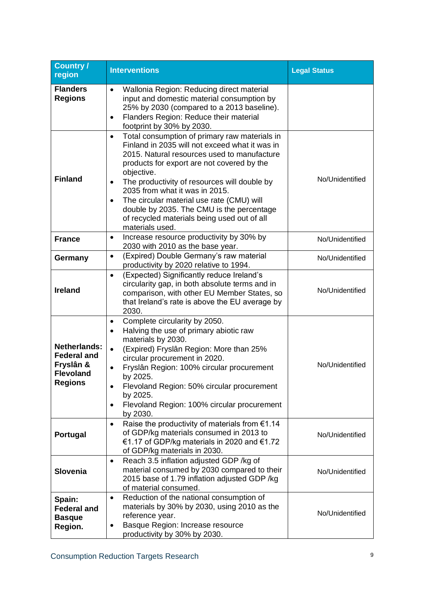| Country /<br>region                                                                          | <b>Interventions</b>                                                                                                                                                                                                                                                                                                                                                                                                                                                                            | <b>Legal Status</b> |
|----------------------------------------------------------------------------------------------|-------------------------------------------------------------------------------------------------------------------------------------------------------------------------------------------------------------------------------------------------------------------------------------------------------------------------------------------------------------------------------------------------------------------------------------------------------------------------------------------------|---------------------|
| <b>Flanders</b><br><b>Regions</b>                                                            | Wallonia Region: Reducing direct material<br>$\bullet$<br>input and domestic material consumption by<br>25% by 2030 (compared to a 2013 baseline).<br>Flanders Region: Reduce their material<br>$\bullet$<br>footprint by 30% by 2030.                                                                                                                                                                                                                                                          |                     |
| <b>Finland</b>                                                                               | Total consumption of primary raw materials in<br>$\bullet$<br>Finland in 2035 will not exceed what it was in<br>2015. Natural resources used to manufacture<br>products for export are not covered by the<br>objective.<br>The productivity of resources will double by<br>$\bullet$<br>2035 from what it was in 2015.<br>The circular material use rate (CMU) will<br>$\bullet$<br>double by 2035. The CMU is the percentage<br>of recycled materials being used out of all<br>materials used. | No/Unidentified     |
| <b>France</b>                                                                                | Increase resource productivity by 30% by<br>$\bullet$<br>2030 with 2010 as the base year.                                                                                                                                                                                                                                                                                                                                                                                                       | No/Unidentified     |
| Germany                                                                                      | (Expired) Double Germany's raw material<br>$\bullet$<br>productivity by 2020 relative to 1994.                                                                                                                                                                                                                                                                                                                                                                                                  | No/Unidentified     |
| <b>Ireland</b>                                                                               | (Expected) Significantly reduce Ireland's<br>$\bullet$<br>circularity gap, in both absolute terms and in<br>comparison, with other EU Member States, so<br>that Ireland's rate is above the EU average by<br>2030.                                                                                                                                                                                                                                                                              | No/Unidentified     |
| <b>Netherlands:</b><br><b>Federal and</b><br>Fryslân &<br><b>Flevoland</b><br><b>Regions</b> | Complete circularity by 2050.<br>$\bullet$<br>Halving the use of primary abiotic raw<br>$\bullet$<br>materials by 2030.<br>(Expired) Fryslân Region: More than 25%<br>$\bullet$<br>circular procurement in 2020.<br>Fryslân Region: 100% circular procurement<br>by 2025.<br>Flevoland Region: 50% circular procurement<br>٠<br>by 2025.<br>Flevoland Region: 100% circular procurement<br>٠<br>by 2030.                                                                                        | No/Unidentified     |
| Portugal                                                                                     | Raise the productivity of materials from $€1.14$<br>$\bullet$<br>of GDP/kg materials consumed in 2013 to<br>€1.17 of GDP/kg materials in 2020 and €1.72<br>of GDP/kg materials in 2030.                                                                                                                                                                                                                                                                                                         | No/Unidentified     |
| <b>Slovenia</b>                                                                              | Reach 3.5 inflation adjusted GDP /kg of<br>$\bullet$<br>material consumed by 2030 compared to their<br>2015 base of 1.79 inflation adjusted GDP /kg<br>of material consumed.                                                                                                                                                                                                                                                                                                                    | No/Unidentified     |
| Spain:<br><b>Federal and</b><br><b>Basque</b><br>Region.                                     | Reduction of the national consumption of<br>$\bullet$<br>materials by 30% by 2030, using 2010 as the<br>reference year.<br>Basque Region: Increase resource<br>productivity by 30% by 2030.                                                                                                                                                                                                                                                                                                     | No/Unidentified     |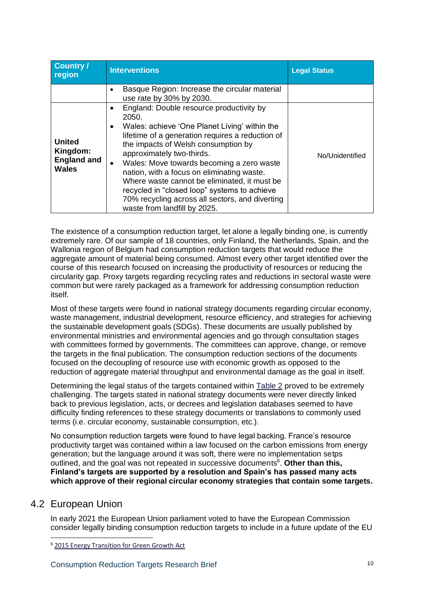| <b>Country /</b><br>region                                      | <b>Interventions</b>                                                                                                                                                                                                                                                                                                                                                                                                                                                                                                                    | <b>Legal Status</b> |
|-----------------------------------------------------------------|-----------------------------------------------------------------------------------------------------------------------------------------------------------------------------------------------------------------------------------------------------------------------------------------------------------------------------------------------------------------------------------------------------------------------------------------------------------------------------------------------------------------------------------------|---------------------|
|                                                                 | Basque Region: Increase the circular material<br>use rate by 30% by 2030.                                                                                                                                                                                                                                                                                                                                                                                                                                                               |                     |
| <b>United</b><br>Kingdom:<br><b>England and</b><br><b>Wales</b> | England: Double resource productivity by<br>٠<br>2050.<br>Wales: achieve 'One Planet Living' within the<br>$\bullet$<br>lifetime of a generation requires a reduction of<br>the impacts of Welsh consumption by<br>approximately two-thirds.<br>Wales: Move towards becoming a zero waste<br>$\bullet$<br>nation, with a focus on eliminating waste.<br>Where waste cannot be eliminated, it must be<br>recycled in "closed loop" systems to achieve<br>70% recycling across all sectors, and diverting<br>waste from landfill by 2025. | No/Unidentified     |

The existence of a consumption reduction target, let alone a legally binding one, is currently extremely rare. Of our sample of 18 countries, only Finland, the Netherlands, Spain, and the Wallonia region of Belgium had consumption reduction targets that would reduce the aggregate amount of material being consumed. Almost every other target identified over the course of this research focused on increasing the productivity of resources or reducing the circularity gap. Proxy targets regarding recycling rates and reductions in sectoral waste were common but were rarely packaged as a framework for addressing consumption reduction itself.

Most of these targets were found in national strategy documents regarding circular economy, waste management, industrial development, resource efficiency, and strategies for achieving the sustainable development goals (SDGs). These documents are usually published by environmental ministries and environmental agencies and go through consultation stages with committees formed by governments. The committees can approve, change, or remove the targets in the final publication. The consumption reduction sections of the documents focused on the decoupling of resource use with economic growth as opposed to the reduction of aggregate material throughput and environmental damage as the goal in itself.

Determining the legal status of the targets contained within Table 2 proved to be extremely challenging. The targets stated in national strategy documents were never directly linked back to previous legislation, acts, or decrees and legislation databases seemed to have difficulty finding references to these strategy documents or translations to commonly used terms (i.e. circular economy, sustainable consumption, etc.).

No consumption reduction targets were found to have legal backing. France's resource productivity target was contained within a law focused on the carbon emissions from energy generation; but the language around it was soft, there were no implementation setps outlined, and the goal was not repeated in successive documents<sup>6</sup>. Other than this, **Finland's targets are supported by a resolution and Spain's has passed many acts which approve of their regional circular economy strategies that contain some targets.** 

### 4.2 European Union

In early 2021 the European Union parliament voted to have the European Commission consider legally binding consumption reduction targets to include in a future update of the EU

<sup>6</sup> [2015 Energy Transition for Green Growth Act](https://www.legifrance.gouv.fr/jorf/id/JORFTEXT000031044385)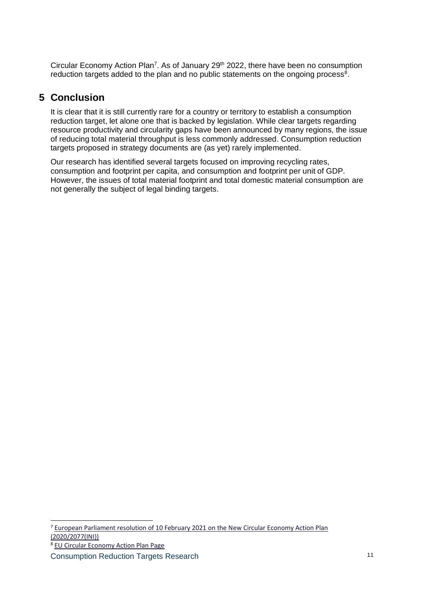Circular Economy Action Plan<sup>7</sup>. As of January 29<sup>th</sup> 2022, there have been no consumption reduction targets added to the plan and no public statements on the ongoing process $8$ .

## **5 Conclusion**

It is clear that it is still currently rare for a country or territory to establish a consumption reduction target, let alone one that is backed by legislation. While clear targets regarding resource productivity and circularity gaps have been announced by many regions, the issue of reducing total material throughput is less commonly addressed. Consumption reduction targets proposed in strategy documents are (as yet) rarely implemented.

Our research has identified several targets focused on improving recycling rates, consumption and footprint per capita, and consumption and footprint per unit of GDP. However, the issues of total material footprint and total domestic material consumption are not generally the subject of legal binding targets.

<sup>7</sup> [European Parliament resolution of 10 February 2021 on the New Circular Economy Action Plan](https://www.europarl.europa.eu/doceo/document/TA-9-2021-0040_EN.pdf)  [\(2020/2077\(INI\)\)](https://www.europarl.europa.eu/doceo/document/TA-9-2021-0040_EN.pdf)

<sup>8</sup> [EU Circular Economy Action Plan Page](https://ec.europa.eu/environment/strategy/circular-economy-action-plan_en#ecl-inpage-877)

Consumption Reduction Targets Research 11 11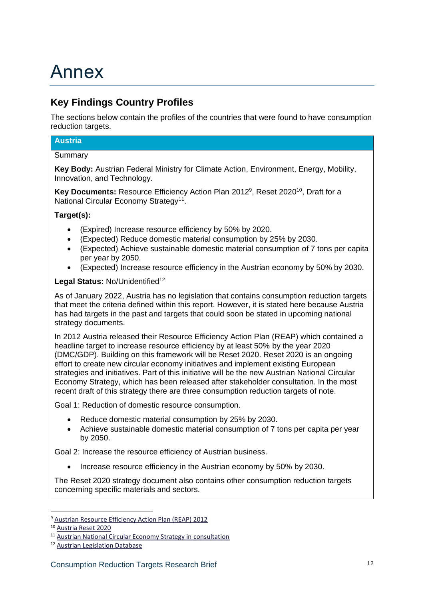## Annex

## **Key Findings Country Profiles**

The sections below contain the profiles of the countries that were found to have consumption reduction targets.

#### **Austria**

#### Summary

**Key Body:** Austrian Federal Ministry for Climate Action, Environment, Energy, Mobility, Innovation, and Technology.

**Key Documents:** Resource Efficiency Action Plan 2012<sup>9</sup>, Reset 2020<sup>10</sup>, Draft for a National Circular Economy Strategy<sup>11</sup>.

#### **Target(s):**

- (Expired) Increase resource efficiency by 50% by 2020.
- (Expected) Reduce domestic material consumption by 25% by 2030.
- (Expected) Achieve sustainable domestic material consumption of 7 tons per capita per year by 2050.
- (Expected) Increase resource efficiency in the Austrian economy by 50% by 2030.

#### Legal Status: No/Unidentified<sup>12</sup>

As of January 2022, Austria has no legislation that contains consumption reduction targets that meet the criteria defined within this report. However, it is stated here because Austria has had targets in the past and targets that could soon be stated in upcoming national strategy documents.

In 2012 Austria released their Resource Efficiency Action Plan (REAP) which contained a headline target to increase resource efficiency by at least 50% by the year 2020 (DMC/GDP). Building on this framework will be Reset 2020. Reset 2020 is an ongoing effort to create new circular economy initiatives and implement existing European strategies and initiatives. Part of this initiative will be the new Austrian National Circular Economy Strategy, which has been released after stakeholder consultation. In the most recent draft of this strategy there are three consumption reduction targets of note.

Goal 1: Reduction of domestic resource consumption.

- Reduce domestic material consumption by 25% by 2030.
- Achieve sustainable domestic material consumption of 7 tons per capita per year by 2050.

Goal 2: Increase the resource efficiency of Austrian business.

• Increase resource efficiency in the Austrian economy by 50% by 2030.

The Reset 2020 strategy document also contains other consumption reduction targets concerning specific materials and sectors.

<sup>9</sup> [Austrian Resource Efficiency Action Plan \(REAP\) 2012](https://www.bmk.gv.at/themen/klima_umwelt/nachhaltigkeit/ressourceneffizienz/publikationen/aktionsplan_ressourceneffizienz.html)

<sup>10</sup> [Austria Reset 2020](https://www.bmk.gv.at/en/topics/climate-environment/sustainable-development/reset.html)

<sup>11</sup> [Austrian National Circular Economy Strategy in consultation](https://www.bmk.gv.at/themen/klima_umwelt/abfall/Kreislaufwirtschaft/strategie.html)

<sup>12</sup> [Austrian Legislation Database](https://www.ris.bka.gv.at/defaultEn.aspx)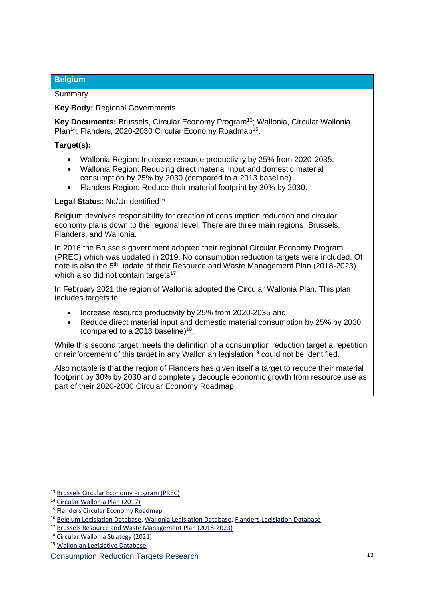#### **Belgium**

#### Summary

**Key Body:** Regional Governments.

**Key Documents:** Brussels, Circular Economy Program<sup>13</sup>; Wallonia, Circular Wallonia Plan<sup>14</sup>; Flanders, 2020-2030 Circular Economy Roadmap<sup>15</sup>.

#### **Target(s):**

- Wallonia Region: Increase resource productivity by 25% from 2020-2035.
- Wallonia Region: Reducing direct material input and domestic material consumption by 25% by 2030 (compared to a 2013 baseline).
- Flanders Region: Reduce their material footprint by 30% by 2030.

Legal Status: No/Unidentified<sup>16</sup>

Belgium devolves responsibility for creation of consumption reduction and circular economy plans down to the regional level. There are three main regions: Brussels, Flanders, and Wallonia.

In 2016 the Brussels government adopted their regional Circular Economy Program (PREC) which was updated in 2019. No consumption reduction targets were included. Of note is also the 5<sup>th</sup> update of their Resource and Waste Management Plan (2018-2023) which also did not contain targets<sup>17</sup>.

In February 2021 the region of Wallonia adopted the Circular Wallonia Plan. This plan includes targets to:

- Increase resource productivity by 25% from 2020-2035 and,
- Reduce direct material input and domestic material consumption by 25% by 2030 (compared to a 2013 baseline)<sup>18</sup>.

While this second target meets the definition of a consumption reduction target a repetition or reinforcement of this target in any Wallonian legislation<sup>19</sup> could not be identified.

Also notable is that the region of Flanders has given itself a target to reduce their material footprint by 30% by 2030 and completely decouple economic growth from resource use as part of their 2020-2030 Circular Economy Roadmap.

<sup>13</sup> [Brussels Circular Economy Program \(PREC\)](https://environnement.brussels/thematiques/transition-de-leconomie/be-circular-programme-regional-deconomie-circulaire)

<sup>14</sup> [Circular Wallonia Plan \(2017\)](https://circulareconomy.europa.eu/platform/en/strategies/circular-wallonia)

<sup>15</sup> [Flanders Circular Economy Roadmap](https://beslissingenvlaamseregering.vlaanderen.be/document-view/5F073D89FA87E000080006EF)

<sup>&</sup>lt;sup>16</sup> [Belgium Legislation Database,](https://www.belgielex.be/en/legislation) [Wallonia Legislation Database,](http://environnement.wallonie.be/) [Flanders Legislation Database](https://www.vlaamsparlement.be/nl/parlementaire-documenten)

<sup>17</sup> [Brussels Resource and Waste Management Plan \(2018-2023\)](https://environnement.brussels/thematiques/dechets-ressources/action-de-la-region/plan-de-gestion-des-ressources-et-dechets)

<sup>18</sup> [Circular Wallonia Strategy \(2021\)](https://circulareconomy.europa.eu/platform/sites/default/files/resume_de_la_politique_wallonne_en_v1_1.pdf)

<sup>19</sup> [Wallonian Legislative Database](http://environnement.wallonie.be/)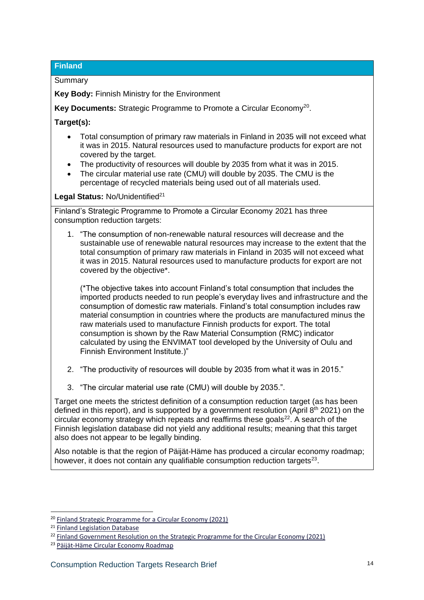#### **Finland**

**Summary** 

**Key Body:** Finnish Ministry for the Environment

Key Documents: Strategic Programme to Promote a Circular Economy<sup>20</sup>.

**Target(s):**

- Total consumption of primary raw materials in Finland in 2035 will not exceed what it was in 2015. Natural resources used to manufacture products for export are not covered by the target.
- The productivity of resources will double by 2035 from what it was in 2015.
- The circular material use rate (CMU) will double by 2035. The CMU is the percentage of recycled materials being used out of all materials used.

#### Legal Status: No/Unidentified<sup>21</sup>

Finland's Strategic Programme to Promote a Circular Economy 2021 has three consumption reduction targets:

1. "The consumption of non-renewable natural resources will decrease and the sustainable use of renewable natural resources may increase to the extent that the total consumption of primary raw materials in Finland in 2035 will not exceed what it was in 2015. Natural resources used to manufacture products for export are not covered by the objective\*.

(\*The objective takes into account Finland's total consumption that includes the imported products needed to run people's everyday lives and infrastructure and the consumption of domestic raw materials. Finland's total consumption includes raw material consumption in countries where the products are manufactured minus the raw materials used to manufacture Finnish products for export. The total consumption is shown by the Raw Material Consumption (RMC) indicator calculated by using the ENVIMAT tool developed by the University of Oulu and Finnish Environment Institute.)"

- 2. "The productivity of resources will double by 2035 from what it was in 2015."
- 3. "The circular material use rate (CMU) will double by 2035.".

Target one meets the strictest definition of a consumption reduction target (as has been defined in this report), and is supported by a government resolution (April 8<sup>th</sup> 2021) on the circular economy strategy which repeats and reaffirms these goals $22$ . A search of the Finnish legislation database did not yield any additional results; meaning that this target also does not appear to be legally binding.

Also notable is that the region of Päijät-Häme has produced a circular economy roadmap; however, it does not contain any qualifiable consumption reduction targets $^{23}$ .

<sup>&</sup>lt;sup>20</sup> [Finland Strategic Programme for a Circular Economy \(2021\)](https://ym.fi/en/strategic-programme-to-promote-a-circular-economy#:~:text=The%20programme,of%20circular%20economy%20by%202035.&text=The%20transition%20into%20a%20circular,carbon%20neutrality%20target%20by%202035.)

<sup>21</sup> [Finland Legislation Database](https://www.finlex.fi/en/laki/kaannokset/)

<sup>&</sup>lt;sup>22</sup> [Finland Government Resolution on the Strategic Programme for the Circular Economy \(2021\)](https://ym.fi/documents/1410903/42733297/Government+resolution+on+the+Strategic+Programme+for+Circular+Economy+8.4.2021.pdf/309aa929-a36f-d565-99f8-fa565050e22e/Government+resolution+on+the+Strategic+Programme+for+Circular+Economy+8.4.2021.pdf?t=1619432219261)

<sup>23</sup> [Päijät-Häme Circular Economy Roadmap](https://paijat-hame.fi/en/smart-specialisation-and-innovation-environments/circular-economy/)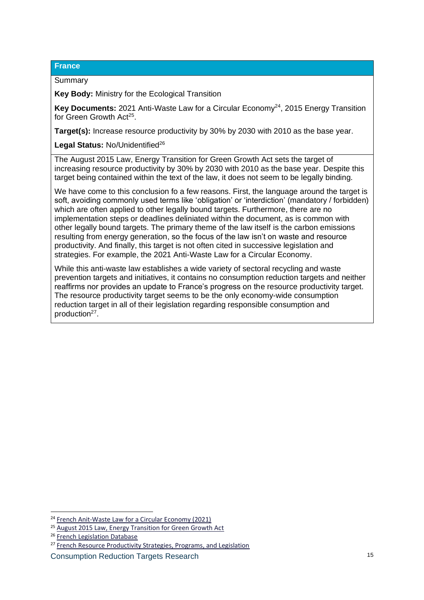#### **France**

#### **Summary**

**Key Body:** Ministry for the Ecological Transition

**Key Documents:** 2021 Anti-Waste Law for a Circular Economy<sup>24</sup>, 2015 Energy Transition for Green Growth Act<sup>25</sup>.

**Target(s):** Increase resource productivity by 30% by 2030 with 2010 as the base year.

Legal Status: No/Unidentified<sup>26</sup>

The August 2015 Law, Energy Transition for Green Growth Act sets the target of increasing resource productivity by 30% by 2030 with 2010 as the base year. Despite this target being contained within the text of the law, it does not seem to be legally binding.

We have come to this conclusion fo a few reasons. First, the language around the target is soft, avoiding commonly used terms like 'obligation' or 'interdiction' (mandatory / forbidden) which are often applied to other legally bound targets. Furthermore, there are no implementation steps or deadlines deliniated within the document, as is common with other legally bound targets. The primary theme of the law itself is the carbon emissions resulting from energy generation, so the focus of the law isn't on waste and resource productivity. And finally, this target is not often cited in successive legislation and strategies. For example, the 2021 Anti-Waste Law for a Circular Economy.

While this anti-waste law establishes a wide variety of sectoral recycling and waste prevention targets and initiatives, it contains no consumption reduction targets and neither reaffirms nor provides an update to France's progress on the resource productivity target. The resource productivity target seems to be the only economy-wide consumption reduction target in all of their legislation regarding responsible consumption and production<sup>27</sup>.

<sup>24</sup> [French Anit-Waste Law for a Circular Economy \(2021\)](https://www.ecologie.gouv.fr/loi-anti-gaspillage-economie-circulaire-0)

<sup>25</sup> [August 2015 Law, Energy Transition for Green Growth Act](https://www.legifrance.gouv.fr/jorf/id/JORFTEXT000031044385)

<sup>&</sup>lt;sup>26</sup> [French Legislation Database](https://www.legifrance.gouv.fr/)

<sup>&</sup>lt;sup>27</sup> [French Resource Productivity Strategies, Programs, and Legislation](https://www.ecologie.gouv.fr/productivite-des-ressources)

Consumption Reduction Targets Research 15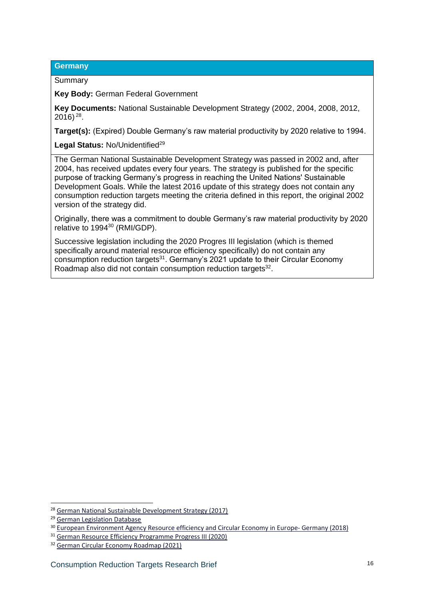#### **Germany**

#### Summary

**Key Body:** German Federal Government

**Key Documents:** National Sustainable Development Strategy (2002, 2004, 2008, 2012, 2016) 28 .

**Target(s):** (Expired) Double Germany's raw material productivity by 2020 relative to 1994.

Legal Status: No/Unidentified<sup>29</sup>

The German National Sustainable Development Strategy was passed in 2002 and, after 2004, has received updates every four years. The strategy is published for the specific purpose of tracking Germany's progress in reaching the United Nations' Sustainable Development Goals. While the latest 2016 update of this strategy does not contain any consumption reduction targets meeting the criteria defined in this report, the original 2002 version of the strategy did.

Originally, there was a commitment to double Germany's raw material productivity by 2020 relative to 1994<sup>30</sup> (RMI/GDP).

Successive legislation including the 2020 Progres III legislation (which is themed specifically around material resource efficiency specifically) do not contain any consumption reduction targets<sup>31</sup>. Germany's 2021 update to their Circular Economy Roadmap also did not contain consumption reduction targets<sup>32</sup>.

<sup>28</sup> [German National Sustainable Development Strategy \(2017\)](https://www.bundesregierung.de/breg-en/issues/sustainability/germany-s-national-sustainable-development-strategy-276504)

<sup>29</sup> [German Legislation Database](https://www.gesetze-im-internet.de/index.html)

<sup>&</sup>lt;sup>30</sup> [European Environment Agency Resource efficiency and Circular Economy in Europe-](https://www.eionet.europa.eu/etcs/etc-wmge/products/b-country-profile-germany_finalised.pdf) Germany (2018)

<sup>31</sup> [German Resource Efficiency Programme Progress III \(2020\)](https://www.bmuv.de/en/download/the-german-resource-efficiency-programme-iii)

<sup>32</sup> [German Circular Economy Roadmap \(2021\)](https://www.circular-economy-initiative.de/english#:~:text=The%20concept%20of%20a%20Circular,economic%20activities%20from%20environmental%20damage.&text=The%20Circular%20Economy%20Initiative%20Deutschland,Circular%20Economy%20Roadmap%20for%20Germany.)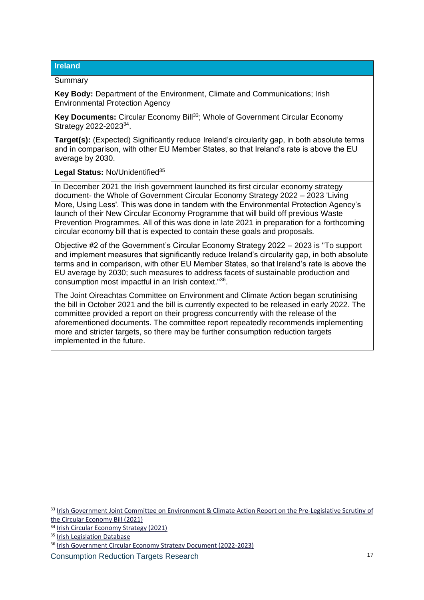#### **Ireland**

#### Summary

**Key Body:** Department of the Environment, Climate and Communications; Irish Environmental Protection Agency

**Key Documents: Circular Economy Bill<sup>33</sup>; Whole of Government Circular Economy** Strategy 2022-2023<sup>34</sup>.

**Target(s):** (Expected) Significantly reduce Ireland's circularity gap, in both absolute terms and in comparison, with other EU Member States, so that Ireland's rate is above the EU average by 2030.

Legal Status: No/Unidentified<sup>35</sup>

In December 2021 the Irish government launched its first circular economy strategy document- the Whole of Government Circular Economy Strategy 2022 – 2023 'Living More, Using Less'. This was done in tandem with the Environmental Protection Agency's launch of their New Circular Economy Programme that will build off previous Waste Prevention Programmes. All of this was done in late 2021 in preparation for a forthcoming circular economy bill that is expected to contain these goals and proposals.

Objective #2 of the Government's Circular Economy Strategy 2022 – 2023 is "To support and implement measures that significantly reduce Ireland's circularity gap, in both absolute terms and in comparison, with other EU Member States, so that Ireland's rate is above the EU average by 2030; such measures to address facets of sustainable production and consumption most impactful in an Irish context."<sup>36</sup> .

The Joint Oireachtas Committee on Environment and Climate Action began scrutinising the bill in October 2021 and the bill is currently expected to be released in early 2022. The committee provided a report on their progress concurrently with the release of the aforementioned documents. The committee report repeatedly recommends implementing more and stricter targets, so there may be further consumption reduction targets implemented in the future.

<sup>&</sup>lt;sup>33</sup> Irish Government Joint Committee on Environment & Climate Action Report on the Pre-Legislative Scrutiny of [the Circular Economy Bill \(2021\)](https://data.oireachtas.ie/ie/oireachtas/committee/dail/33/joint_committee_on_environment_and_climate_action/reports/2021/2021-12-16_report-on-the-pre-legislative-scrutiny-of-the-circular-economy-bill-2021_en.pdf)

<sup>34</sup> [Irish Circular Economy Strategy \(2021\)](https://www.gov.ie/en/press-release/16a69-government-launches-irelands-first-whole-of-government-circular-economy-strategy/)

<sup>&</sup>lt;sup>35</sup> [Irish Legislation Database](https://www.irishstatutebook.ie/)

<sup>36</sup> [Irish Government Circular Economy Strategy](https://www.gov.ie/en/publication/b542d-whole-of-government-circular-economy-strategy-2022-2023-living-more-using-less/) Document (2022-2023)

Consumption Reduction Targets Research 17 17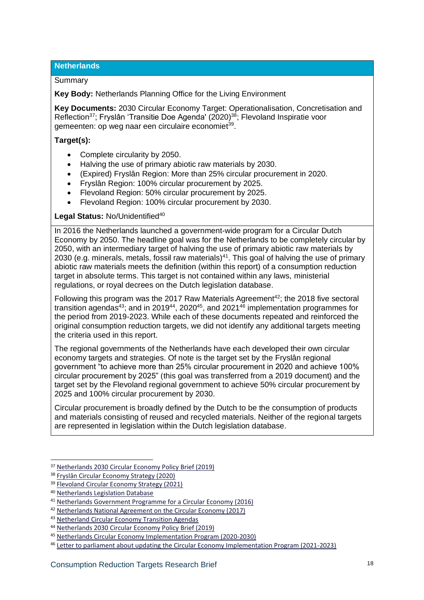**Netherlands**

#### **Summary**

**Key Body:** Netherlands Planning Office for the Living Environment

**Key Documents:** 2030 Circular Economy Target: Operationalisation, Concretisation and Reflection<sup>37</sup>; Fryslân 'Transitie Doe Agenda' (2020)<sup>38</sup>; Flevoland Inspiratie voor gemeenten: op weg naar een circulaire economiet<sup>39</sup>.

#### **Target(s):**

- Complete circularity by 2050.
- Halving the use of primary abiotic raw materials by 2030.
- (Expired) Fryslân Region: More than 25% circular procurement in 2020.
- Fryslân Region: 100% circular procurement by 2025.
- Flevoland Region: 50% circular procurement by 2025.
- Flevoland Region: 100% circular procurement by 2030.

#### Legal Status: No/Unidentified<sup>40</sup>

In 2016 the Netherlands launched a government-wide program for a Circular Dutch Economy by 2050. The headline goal was for the Netherlands to be completely circular by 2050, with an intermediary target of halving the use of primary abiotic raw materials by 2030 (e.g. minerals, metals, fossil raw materials)<sup>41</sup>. This goal of halving the use of primary abiotic raw materials meets the definition (within this report) of a consumption reduction target in absolute terms. This target is not contained within any laws, ministerial regulations, or royal decrees on the Dutch legislation database.

Following this program was the 2017 Raw Materials Agreement<sup>42</sup>; the 2018 five sectoral transition agendas<sup>43</sup>; and in 2019<sup>44</sup>, 2020<sup>45</sup>, and 2021<sup>46</sup> implementation programmes for the period from 2019-2023. While each of these documents repeated and reinforced the original consumption reduction targets, we did not identify any additional targets meeting the criteria used in this report.

The regional governments of the Netherlands have each developed their own circular economy targets and strategies. Of note is the target set by the Fryslân regional government "to achieve more than 25% circular procurement in 2020 and achieve 100% circular procurement by 2025" (this goal was transferred from a 2019 document) and the target set by the Flevoland regional government to achieve 50% circular procurement by 2025 and 100% circular procurement by 2030.

Circular procurement is broadly defined by the Dutch to be the consumption of products and materials consisting of reused and recycled materials. Neither of the regional targets are represented in legislation within the Dutch legislation database.

<sup>37</sup> [Netherlands 2030 Circular Economy Policy Brief \(2019\)](https://www.pbl.nl/publicaties/doelstelling-circulaire-economie-2030)

<sup>38</sup> [Fryslân Circular Economy Strategy \(2020\)](https://circulairfriesland.frl/app/uploads/2019/07/Metabolic_TRANSITIE-DOE-AGENDA-BIOMASSA_v03_SL.pdf)

<sup>39</sup> [Flevoland Circular Economy Strategy \(2021\)](https://nmfflevoland.nl/wp-content/uploads/sites/19/2021/04/210527_Inspiratie-voor-gemeenten-op-weg-naar-een-circulaire-economie.pdf)

<sup>40</sup> [Netherlands Legislation Database](https://wetten.overheid.nl/zoeken)

<sup>41</sup> [Netherlands Government Programme for a Circular Economy \(2016\)](https://www.government.nl/documents/policy-notes/2016/09/14/a-circular-economy-in-the-netherlands-by-2050)

<sup>42</sup> [Netherlands National Agreement on the Circular Economy \(2017\)](https://www.government.nl/documents/discussion-documents/2017/01/24/national-agreement-on-the-circular-economy)

<sup>43</sup> [Netherland Circular Economy Transition Agendas](https://www.government.nl/topics/circular-economy/accelerating-the-transition-to-a-circular-economy)

<sup>44</sup> [Netherlands 2030 Circular Economy Policy Brief \(2019\)](https://www.pbl.nl/publicaties/doelstelling-circulaire-economie-2030)

<sup>45</sup> [Netherlands Circular Economy Implementation Program \(2020-2030\)](https://www.rijksoverheid.nl/documenten/rapporten/2020/09/25/uitvoeringsprogramma-2020-2023)

<sup>46</sup> [Letter to parliament about updating the Circular Economy Implementation Program \(2021-2023\)](https://www.rijksoverheid.nl/documenten/kamerstukken/2021/10/18/aanbieding-uitvoeringsprogramma-circulaire-economie-2021-2023)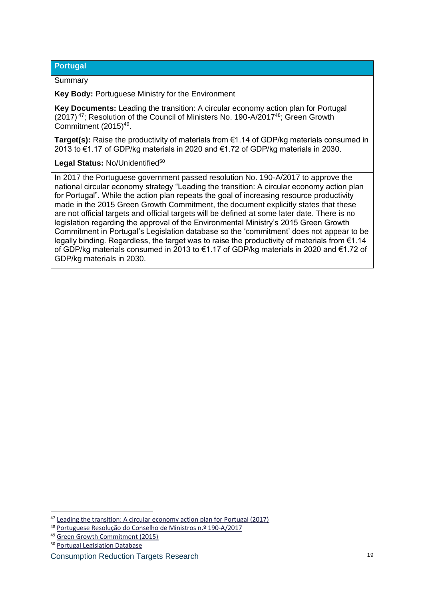#### **Portugal**

#### Summary

**Key Body:** Portuguese Ministry for the Environment

**Key Documents:** Leading the transition: A circular economy action plan for Portugal (2017)<sup>47</sup>; Resolution of the Council of Ministers No. 190-A/2017<sup>48</sup>; Green Growth Commitment (2015)<sup>49</sup>.

**Target(s):** Raise the productivity of materials from €1.14 of GDP/kg materials consumed in 2013 to €1.17 of GDP/kg materials in 2020 and €1.72 of GDP/kg materials in 2030.

#### Legal Status: No/Unidentified<sup>50</sup>

In 2017 the Portuguese government passed resolution No. 190-A/2017 to approve the national circular economy strategy "Leading the transition: A circular economy action plan for Portugal". While the action plan repeats the goal of increasing resource productivity made in the 2015 Green Growth Commitment, the document explicitly states that these are not official targets and official targets will be defined at some later date. There is no legislation regarding the approval of the Environmental Ministry's 2015 Green Growth Commitment in Portugal's Legislation database so the 'commitment' does not appear to be legally binding. Regardless, the target was to raise the productivity of materials from €1.14 of GDP/kg materials consumed in 2013 to €1.17 of GDP/kg materials in 2020 and €1.72 of GDP/kg materials in 2030.

<sup>47</sup> [Leading the transition: A circular economy action plan for Portugal \(2017\)](https://circulareconomy.europa.eu/platform/sites/default/files/strategy_-_portuguese_action_plan_paec_en_version_3.pdf)

<sup>48</sup> Portuguese Resolução do [Conselho de Ministros n.º 190-A/2017](https://dre.pt/dre/detalhe/resolucao-conselho-ministros/190-a-2017-114337039)

<sup>49</sup> [Green Growth Commitment \(2015\)](https://www.crescimentoverde.gov.pt/wp-content/uploads/2014/10/CrescimentoVerde_ing_v_pq_bx.pdf)

<sup>50</sup> [Portugal Legislation Database](https://dre.pt/dre/home)

Consumption Reduction Targets Research 19 and 19 and 19 and 19 and 19 and 19 and 19 and 19 and 19 and 19 and 19 and 19 and 19 and 19 and 19 and 19 and 19 and 19 and 19 and 19 and 19 and 19 and 19 and 19 and 19 and 19 and 1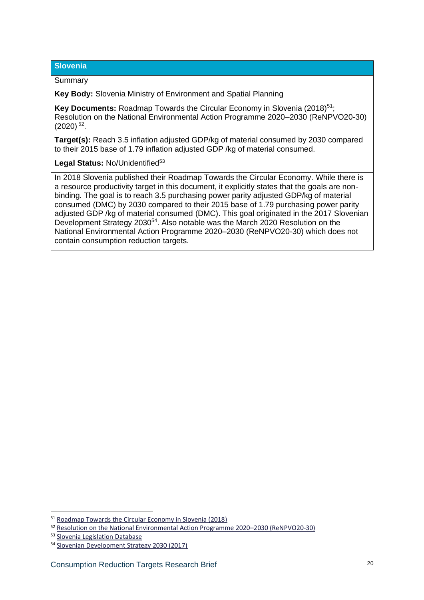#### **Slovenia**

#### Summary

**Key Body:** Slovenia Ministry of Environment and Spatial Planning

**Key Documents:** Roadmap Towards the Circular Economy in Slovenia (2018)<sup>51</sup>; Resolution on the National Environmental Action Programme 2020–2030 (ReNPVO20-30)  $(2020)$ <sup>52</sup>.

**Target(s):** Reach 3.5 inflation adjusted GDP/kg of material consumed by 2030 compared to their 2015 base of 1.79 inflation adjusted GDP /kg of material consumed.

#### Legal Status: No/Unidentified<sup>53</sup>

In 2018 Slovenia published their Roadmap Towards the Circular Economy. While there is a resource productivity target in this document, it explicitly states that the goals are nonbinding. The goal is to reach 3.5 purchasing power parity adjusted GDP/kg of material consumed (DMC) by 2030 compared to their 2015 base of 1.79 purchasing power parity adjusted GDP /kg of material consumed (DMC). This goal originated in the 2017 Slovenian Development Strategy 2030<sup>54</sup>. Also notable was the March 2020 Resolution on the National Environmental Action Programme 2020–2030 (ReNPVO20-30) which does not contain consumption reduction targets.

<sup>51</sup> [Roadmap Towards the Circular Economy in Slovenia \(2018\)](https://circulareconomy.europa.eu/platform/sites/default/files/roadmap_towards_the_circular_economy_in_slovenia.pdf)

<sup>52</sup> [Resolution on the National Environmental Action Programme 2020](https://www.gov.si/en/policies/environment-and-spatial-planning/environment/waste/)–2030 (ReNPVO20-30)

<sup>53</sup> [Slovenia Legislation Database](https://www.justice.gov.sk/Stranky/Zakony/Zbierka-zakonov.aspx)

<sup>54</sup> [Slovenian Development Strategy 2030 \(2017\)](https://www.gov.si/assets/vladne-sluzbe/SVRK/Strategija-razvoja-Slovenije-2030/Slovenian-Development-Strategy-2030.pdf)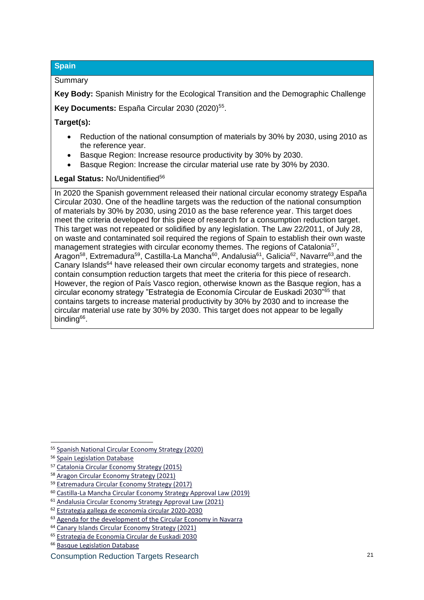#### **Spain**

#### Summary

**Key Body:** Spanish Ministry for the Ecological Transition and the Demographic Challenge Key Documents: España Circular 2030 (2020)<sup>55</sup>.

#### **Target(s):**

- Reduction of the national consumption of materials by 30% by 2030, using 2010 as the reference year.
- Basque Region: Increase resource productivity by 30% by 2030.
- Basque Region: Increase the circular material use rate by 30% by 2030.

#### Legal Status: No/Unidentified<sup>56</sup>

In 2020 the Spanish government released their national circular economy strategy España Circular 2030. One of the headline targets was the reduction of the national consumption of materials by 30% by 2030, using 2010 as the base reference year. This target does meet the criteria developed for this piece of research for a consumption reduction target. This target was not repeated or solidified by any legislation. The Law 22/2011, of July 28, on waste and contaminated soil required the regions of Spain to establish their own waste management strategies with circular economy themes. The regions of Catalonia<sup>57</sup>, Aragon<sup>58</sup>, Extremadura<sup>59</sup>, Castilla-La Mancha<sup>60</sup>, Andalusia<sup>61</sup>, Galicia<sup>62</sup>, Navarre<sup>63</sup>,and the Canary Islands<sup>64</sup> have released their own circular economy targets and strategies, none contain consumption reduction targets that meet the criteria for this piece of research. However, the region of País Vasco region, otherwise known as the Basque region, has a circular economy strategy "Estrategia de Economía Circular de Euskadi 2030"<sup>65</sup> that contains targets to increase material productivity by 30% by 2030 and to increase the circular material use rate by 30% by 2030. This target does not appear to be legally binding<sup>66</sup>.

<sup>55</sup> [Spanish National Circular Economy Strategy \(2020\)](https://www.miteco.gob.es/es/calidad-y-evaluacion-ambiental/temas/economia-circular/estrategia/)

<sup>56</sup> [Spain Legislation Database](https://www.boe.es/buscar/legislacion.php)

<sup>57</sup> [Catalonia Circular Economy Strategy \(2015\)](https://mediambient.gencat.cat/ca/05_ambits_dactuacio/empresa_i_produccio_sostenible/economia_verda/impuls_economia_verda/)

<sup>58</sup> [Aragon Circular Economy Strategy \(2021\)](https://aragoncircular.es/indicadores/)

<sup>59</sup> [Extremadura Circular Economy Strategy \(2017\)](https://circulareconomy.europa.eu/platform/en/strategies/extremadura-2030)

<sup>60</sup> [Castilla-La Mancha Circular Economy Strategy Approval Law \(2019\)](https://noticias.juridicas.com/base_datos/CCAA/655388-l-7-2019-de-29-nov-ca-castilla-la-mancha-economia-circular.html#a4)

<sup>61</sup> [Andalusia Circular Economy Strategy Approval Law \(2021\)](https://noticias.juridicas.com/base_datos/CCAA/693999-d-131-2021-de-6-abr-ca-la-rioja-plan-integral-de-residuos-de-andalucia-hacia.html#a1)

<sup>62</sup> [Estrategia gallega de economía circular 2020-2030](https://sirga.xunta.gal/estrategia)

 $63$  [Agenda for the development of the Circular Economy in Navarra](https://gobiernoabierto.navarra.es/es/participacion/procesos/agenda-para-desarrollo-economia-circular-navarra)

<sup>64</sup> [Canary Islands Circular Economy Strategy \(2021\)](https://noticias.juridicas.com/base_datos/CCAA/704049-r-presidencia-15-jul-2021-ca-canarias-acuerdo-por-el-que-se-aprueba-la-estrategia.html)

<sup>65</sup> [Estrategia de Economía Circular de Euskadi 2030](https://www.euskadi.eus/documentacion/2020/estrategia-de-economia-circular-de-euskadi-2030/web01-a2ingkut/es/)

<sup>66</sup> [Basque Legislation Database](https://www.legegunea.euskadi.eus/inicio)

Consumption Reduction Targets Research <sup>21</sup>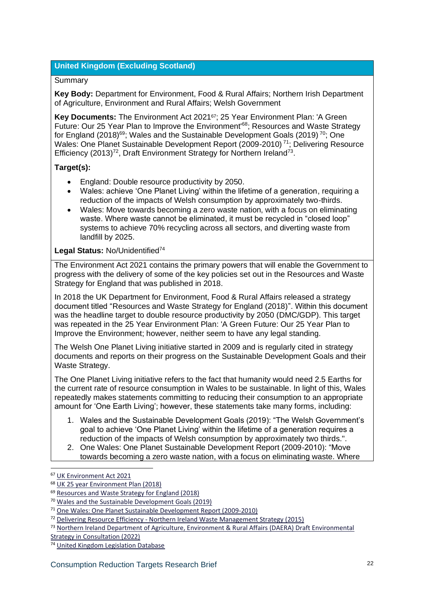#### **United Kingdom (Excluding Scotland)**

#### Summary

**Key Body:** Department for Environment, Food & Rural Affairs; Northern Irish Department of Agriculture, Environment and Rural Affairs; Welsh Government

**Key Documents:** The Environment Act 202167; 25 Year Environment Plan: 'A Green Future: Our 25 Year Plan to Improve the Environment<sup>68</sup>; Resources and Waste Strategy for England (2018)<sup>69</sup>; Wales and the Sustainable Development Goals (2019)<sup>70</sup>; One Wales: One Planet Sustainable Development Report (2009-2010) <sup>71</sup>; Delivering Resource Efficiency (2013)<sup>72</sup>, Draft Environment Strategy for Northern Ireland<sup>73</sup>.

#### **Target(s):**

- England: Double resource productivity by 2050.
- Wales: achieve 'One Planet Living' within the lifetime of a generation, requiring a reduction of the impacts of Welsh consumption by approximately two-thirds.
- Wales: Move towards becoming a zero waste nation, with a focus on eliminating waste. Where waste cannot be eliminated, it must be recycled in "closed loop" systems to achieve 70% recycling across all sectors, and diverting waste from landfill by 2025.

#### Legal Status: No/Unidentified<sup>74</sup>

The Environment Act 2021 contains the primary powers that will enable the Government to progress with the delivery of some of the key policies set out in the Resources and Waste Strategy for England that was published in 2018.

In 2018 the UK Department for Environment, Food & Rural Affairs released a strategy document titled "Resources and Waste Strategy for England (2018)". Within this document was the headline target to double resource productivity by 2050 (DMC/GDP). This target was repeated in the 25 Year Environment Plan: 'A Green Future: Our 25 Year Plan to Improve the Environment; however, neither seem to have any legal standing.

The Welsh One Planet Living initiative started in 2009 and is regularly cited in strategy documents and reports on their progress on the Sustainable Development Goals and their Waste Strategy.

The One Planet Living initiative refers to the fact that humanity would need 2.5 Earths for the current rate of resource consumption in Wales to be sustainable. In light of this, Wales repeatedly makes statements committing to reducing their consumption to an appropriate amount for 'One Earth Living'; however, these statements take many forms, including:

- 1. Wales and the Sustainable Development Goals (2019): "The Welsh Government's goal to achieve 'One Planet Living' within the lifetime of a generation requires a reduction of the impacts of Welsh consumption by approximately two thirds.".
- 2. One Wales: One Planet Sustainable Development Report (2009-2010): "Move towards becoming a zero waste nation, with a focus on eliminating waste. Where

<sup>67</sup> [UK Environment Act 2021](https://www.legislation.gov.uk/ukpga/2021/30/contents/enacted)

<sup>68</sup> [UK 25 year Environment Plan \(2018\)](https://www.gov.uk/government/publications/25-year-environment-plan)

<sup>&</sup>lt;sup>69</sup> [Resources and Waste Strategy for England \(2018\)](https://www.gov.uk/government/publications/resources-and-waste-strategy-for-england)

<sup>70</sup> [Wales and the Sustainable Development Goals \(2019\)](https://gov.wales/sites/default/files/publications/2019-07/supplementary-report-to-the-uk-review-of-progress-towards-the-sustainable-development-goals-2030_0.pdf)

<sup>71</sup> [One Wales: One Planet Sustainable Development Report \(2009-2010\)](https://senedd.wales/Laid%20Documents/GEN-LD8219%20-%20One%20Wales%20One%20Planet%20-%20The%20Sustainable%20Development%20Annual%20Report%202009-2010-21092010-196494/gen-ld8219-e-English.pdf)

 $12$  Delivering Resource Efficiency - [Northern Ireland Waste Management Strategy \(2015\)](https://www.daera-ni.gov.uk/publications/delivering-resource-efficiency-northern-ireland-waste-management-strategy)

<sup>73</sup> Northern Ireland Department of Agriculture, Environment & Rural Affairs (DAERA) Draft Environmental

[Strategy in Consultation \(2022\)](https://www.daera-ni.gov.uk/consultations/environment-strategy-consultation)

<sup>74</sup> [United Kingdom Legislation Database](https://www.legislation.gov.uk/)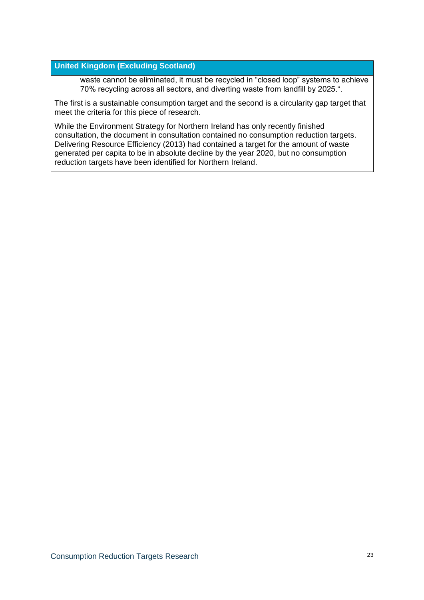#### **United Kingdom (Excluding Scotland)**

waste cannot be eliminated, it must be recycled in "closed loop" systems to achieve 70% recycling across all sectors, and diverting waste from landfill by 2025.".

The first is a sustainable consumption target and the second is a circularity gap target that meet the criteria for this piece of research.

While the Environment Strategy for Northern Ireland has only recently finished consultation, the document in consultation contained no consumption reduction targets. Delivering Resource Efficiency (2013) had contained a target for the amount of waste generated per capita to be in absolute decline by the year 2020, but no consumption reduction targets have been identified for Northern Ireland.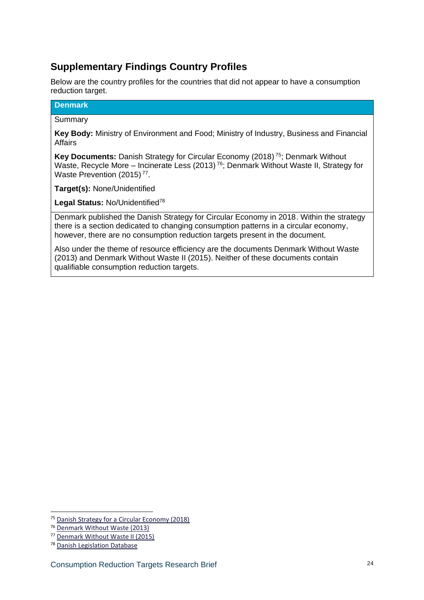## **Supplementary Findings Country Profiles**

Below are the country profiles for the countries that did not appear to have a consumption reduction target.

#### **Denmark**

#### Summary

**Key Body:** Ministry of Environment and Food; Ministry of Industry, Business and Financial Affairs

**Key Documents:** Danish Strategy for Circular Economy (2018) <sup>75</sup>; Denmark Without Waste, Recycle More – Incinerate Less (2013)<sup>76</sup>; Denmark Without Waste II, Strategy for Waste Prevention (2015)<sup>77</sup>.

**Target(s):** None/Unidentified

Legal Status: No/Unidentified<sup>78</sup>

Denmark published the Danish Strategy for Circular Economy in 2018. Within the strategy there is a section dedicated to changing consumption patterns in a circular economy, however, there are no consumption reduction targets present in the document.

Also under the theme of resource efficiency are the documents Denmark Without Waste (2013) and Denmark Without Waste II (2015). Neither of these documents contain qualifiable consumption reduction targets.

<sup>75</sup> [Danish Strategy for a Circular Economy \(2018\)](https://circulareconomy.europa.eu/platform/en/strategies/danish-strategy-circular-economy)

<sup>76</sup> [Denmark Without Waste \(2013\)](https://eng.mst.dk/air-noise-waste/waste/denmark-without-waste/)

<sup>77</sup> [Denmark Without Waste II \(2015\)](https://eng.mst.dk/air-noise-waste/waste/denmark-without-waste-ii/#:~:text=Denmark%20without%20waste%20II%20%2D%20a%20waste%20prevention%20strategy&text=They%20are%20scarce%20and%20we,households%20and%20businesses%20throughout%20Denmark.)

<sup>78</sup> [Danish Legislation Database](https://hoeringsportalen.dk/Hearing?Authorities=L%C3%A6gemiddelstyrelsen)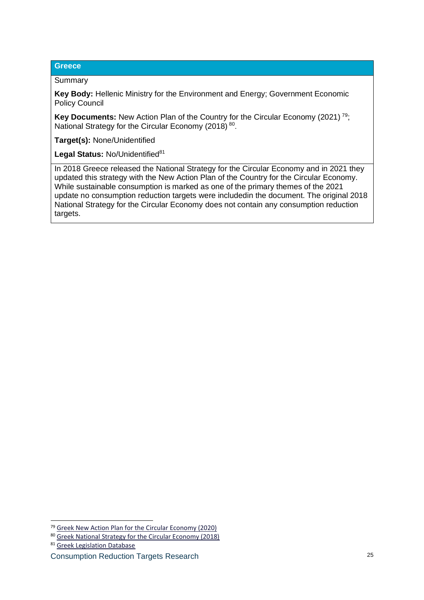#### **Greece**

#### Summary

**Key Body:** Hellenic Ministry for the Environment and Energy; Government Economic Policy Council

**Key Documents:** New Action Plan of the Country for the Circular Economy (2021)<sup>79</sup>; National Strategy for the Circular Economy (2018) 80.

**Target(s):** None/Unidentified

Legal Status: No/Unidentified<sup>81</sup>

In 2018 Greece released the National Strategy for the Circular Economy and in 2021 they updated this strategy with the New Action Plan of the Country for the Circular Economy. While sustainable consumption is marked as one of the primary themes of the 2021 update no consumption reduction targets were includedin the document. The original 2018 National Strategy for the Circular Economy does not contain any consumption reduction targets.

<sup>79</sup> [Greek New Action Plan for the Circular Economy \(2020\)](https://ypen.gov.gr/perivallon/kykliki-oikonomia/16052-2/)

<sup>80</sup> [Greek National Strategy for the Circular Economy \(2018\)](https://ypen.gov.gr/wp-content/uploads/2020/10/%CE%95%CE%B8%CE%BD%CE%B9%CE%BA%CE%AE-%CE%A3%CF%84%CF%81%CE%B1%CF%84%CE%B7%CE%B3%CE%B9%CE%BA%CE%AE-%CE%93%CE%B9%CE%B1-%CF%84%CE%B7%CE%BD-%CE%9A%CF%85%CE%BA%CE%BB%CE%B9%CE%BA%CE%AE-%CE%9F%CE%B9%CE%BA%CE%BF%CE%BD%CE%BF%CE%BC%CE%AF%CE%B1.pdf)

<sup>81</sup> [Greek Legislation Database](https://www.hellenicparliament.gr/en/Nomothetiko-Ergo/Psifisthenta-Nomoschedia)

Consumption Reduction Targets Research 25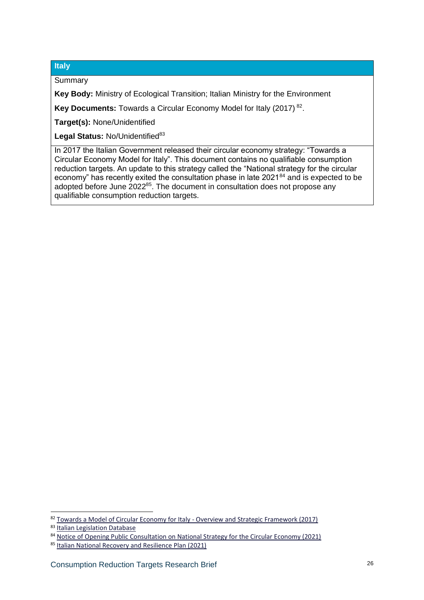#### **Italy**

Summary

**Key Body:** Ministry of Ecological Transition; Italian Ministry for the Environment

**Key Documents:** Towards a Circular Economy Model for Italy (2017)<sup>82</sup>.

**Target(s):** None/Unidentified

Legal Status: No/Unidentified<sup>83</sup>

In 2017 the Italian Government released their circular economy strategy: "Towards a Circular Economy Model for Italy". This document contains no qualifiable consumption reduction targets. An update to this strategy called the "National strategy for the circular economy" has recently exited the consultation phase in late 2021<sup>84</sup> and is expected to be adopted before June 2022<sup>85</sup>. The document in consultation does not propose any qualifiable consumption reduction targets.

<sup>82</sup> [Towards a Model of Circular Economy for Italy -](https://circulareconomy.europa.eu/platform/en/strategies/towards-model-circular-economy-italy-overview-and-strategic-framework) Overview and Strategic Framework (2017)

<sup>83</sup> [Italian Legislation Database](https://online.leggiditalia.it/)

<sup>84</sup> [Notice of Opening Public Consultation on National Strategy for the Circular Economy \(2021\)](https://www.mite.gov.it/pagina/economia-circolare)

<sup>85</sup> [Italian National Recovery and Resilience Plan \(2021\)](https://italiadomani.gov.it/it/home.html)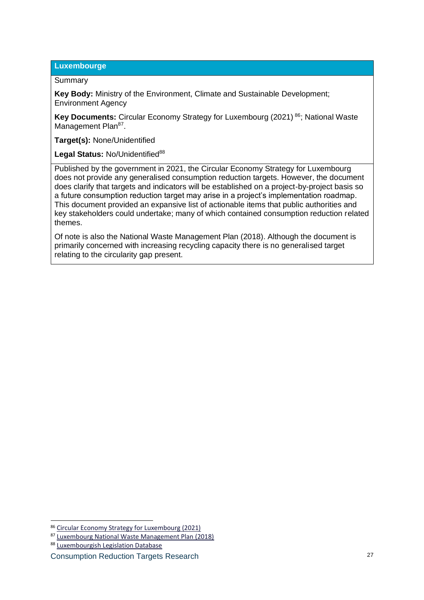#### **Luxembourge**

#### Summary

**Key Body:** Ministry of the Environment, Climate and Sustainable Development; Environment Agency

**Key Documents:** Circular Economy Strategy for Luxembourg (2021) <sup>86</sup>; National Waste Management Plan<sup>87</sup>.

**Target(s):** None/Unidentified

Legal Status: No/Unidentified<sup>88</sup>

Published by the government in 2021, the Circular Economy Strategy for Luxembourg does not provide any generalised consumption reduction targets. However, the document does clarify that targets and indicators will be established on a project-by-project basis so a future consumption reduction target may arise in a project's implementation roadmap. This document provided an expansive list of actionable items that public authorities and key stakeholders could undertake; many of which contained consumption reduction related themes.

Of note is also the National Waste Management Plan (2018). Although the document is primarily concerned with increasing recycling capacity there is no generalised target relating to the circularity gap present.

<sup>86</sup> [Circular Economy Strategy for Luxembourg \(2021\)](https://economie-circulaire.public.lu/en/publications/circular-strategy.html)

<sup>87</sup> [Luxembourg National Waste Management Plan \(2018\)](https://environnement.public.lu/fr/offall-ressourcen/principes-gestion-dechets/Plan_national_de_gestion_des_dechets_PNGD.html)

<sup>88</sup> [Luxembourgish Legislation Database](https://legilux.public.lu/)

Consumption Reduction Targets Research 27 27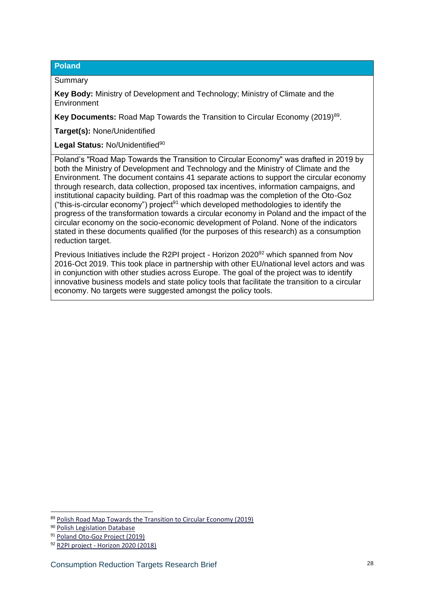#### **Poland**

**Summary** 

**Key Body:** Ministry of Development and Technology; Ministry of Climate and the Environment

**Key Documents:** Road Map Towards the Transition to Circular Economy (2019)<sup>89</sup>.

**Target(s):** None/Unidentified

Legal Status: No/Unidentified<sup>90</sup>

Poland's "Road Map Towards the Transition to Circular Economy" was drafted in 2019 by both the Ministry of Development and Technology and the Ministry of Climate and the Environment. The document contains 41 separate actions to support the circular economy through research, data collection, proposed tax incentives, information campaigns, and institutional capacity building. Part of this roadmap was the completion of the Oto-Goz ("this-is-circular economy") project<sup>91</sup> which developed methodologies to identify the progress of the transformation towards a circular economy in Poland and the impact of the circular economy on the socio-economic development of Poland. None of the indicators stated in these documents qualified (for the purposes of this research) as a consumption reduction target.

Previous Initiatives include the R2PI project - Horizon 2020<sup>92</sup> which spanned from Nov 2016-Oct 2019. This took place in partnership with other EU/national level actors and was in conjunction with other studies across Europe. The goal of the project was to identify innovative business models and state policy tools that facilitate the transition to a circular economy. No targets were suggested amongst the policy tools.

<sup>89</sup> [Polish Road Map Towards the Transition to Circular Economy \(2019\)](https://www.gov.pl/web/rozwoj-technologia/gospodarka-o-obiegu-zamknietym)

<sup>90</sup> [Polish Legislation Database](https://isap.sejm.gov.pl/)

<sup>91</sup> [Poland Oto-Goz Project \(2019\)](https://min-pan.krakow.pl/projekty/en/2020/12/15/oto-goz/)

<sup>92</sup> R2PI project - [Horizon 2020 \(2018\)](https://www.gov.pl/web/rozwoj-technologia/projekt-r2pi-horyzont-2020)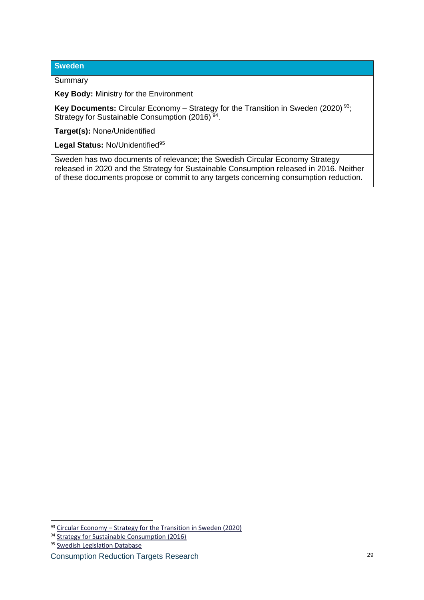#### **Sweden**

#### **Summary**

**Key Body:** Ministry for the Environment

**Key Documents:** Circular Economy – Strategy for the Transition in Sweden (2020)<sup>93</sup>; Strategy for Sustainable Consumption (2016)<sup>94</sup>.

**Target(s):** None/Unidentified

Legal Status: No/Unidentified<sup>95</sup>

Sweden has two documents of relevance; the Swedish Circular Economy Strategy released in 2020 and the Strategy for Sustainable Consumption released in 2016. Neither of these documents propose or commit to any targets concerning consumption reduction.

<sup>93</sup> Circular Economy – [Strategy for the Transition in Sweden \(2020\)](https://www.government.se/4ad42c/contentassets/d5ab250cf59a47b38feb8239eca1f6ab/circular-economy--strategy-for-the-transition-in-sweden)

<sup>&</sup>lt;sup>94</sup> [Strategy for Sustainable Consumption \(2016\)](https://www.government.se/articles/2016/10/strategy-for-sustainable-consumption/)

<sup>95</sup> [Swedish Legislation Database](https://www.riksdagen.se/sv/global/sok/?q=&doktyp=sfs)

Consumption Reduction Targets Research 29 29